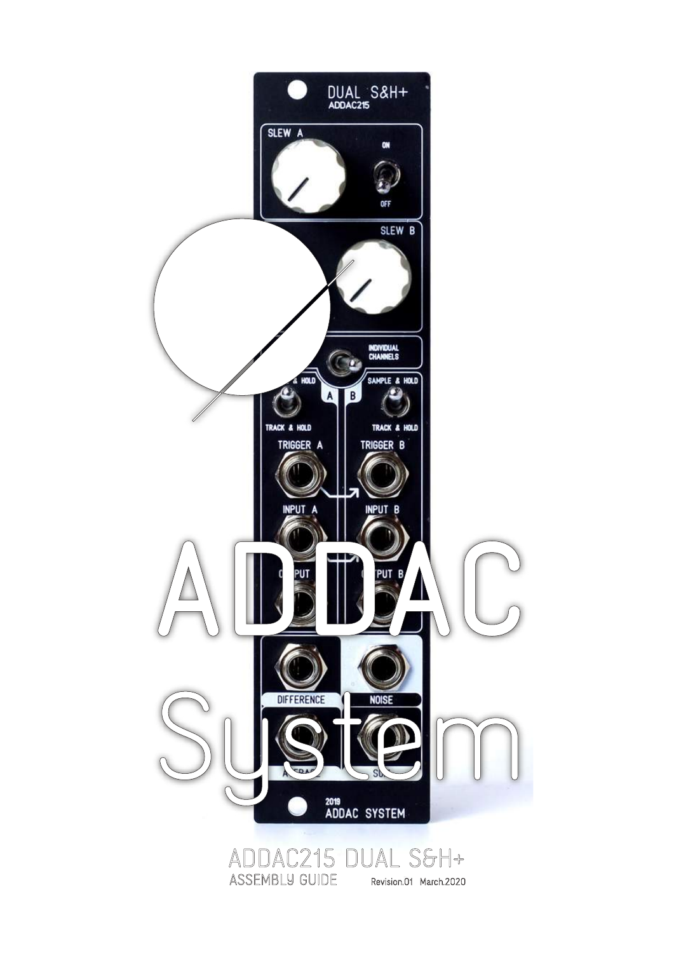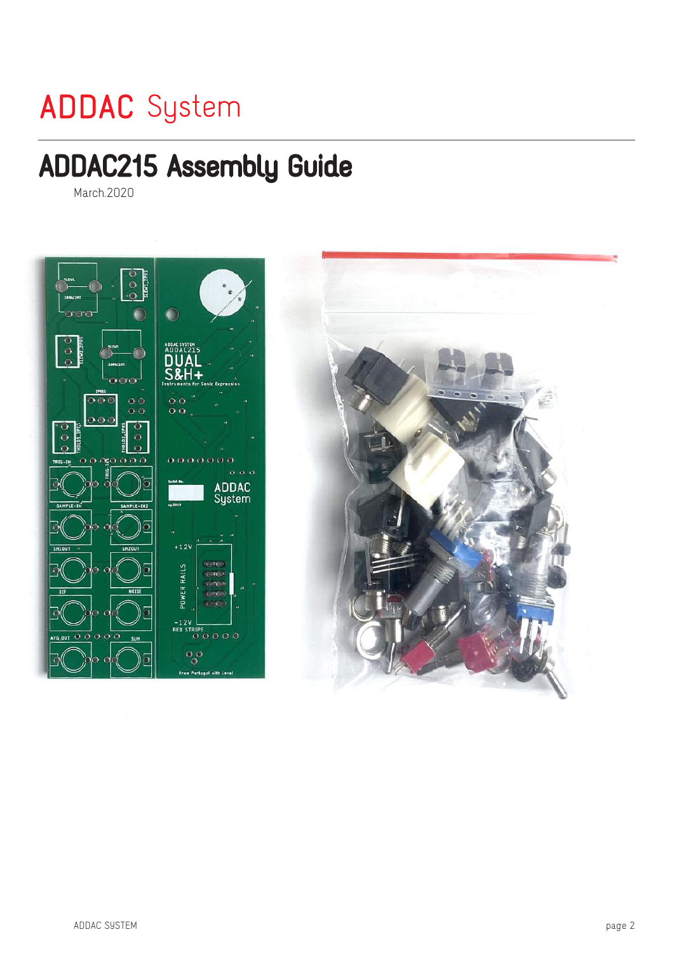# **ADDAC** System

# ADDAC215 Assembly Guide

March.2020

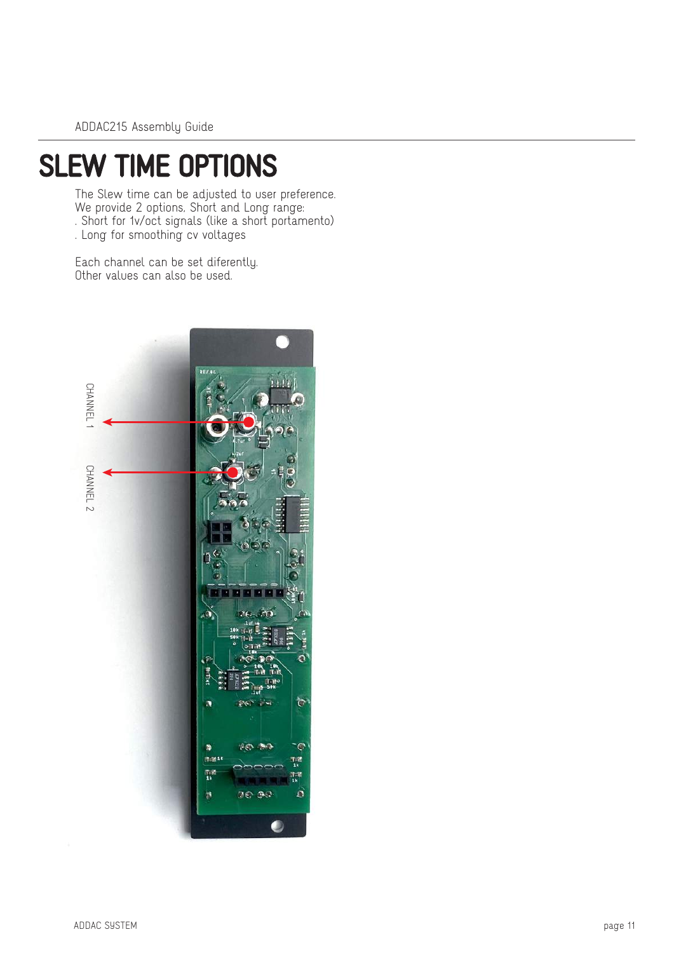## SLEW TIME OPTIONS

The Slew time can be adjusted to user preference. We provide 2 options, Short and Long range: . Short for 1v/oct signals (like a short portamento)

. Long for smoothing cv voltages

Each channel can be set diferently. Other values can also be used.

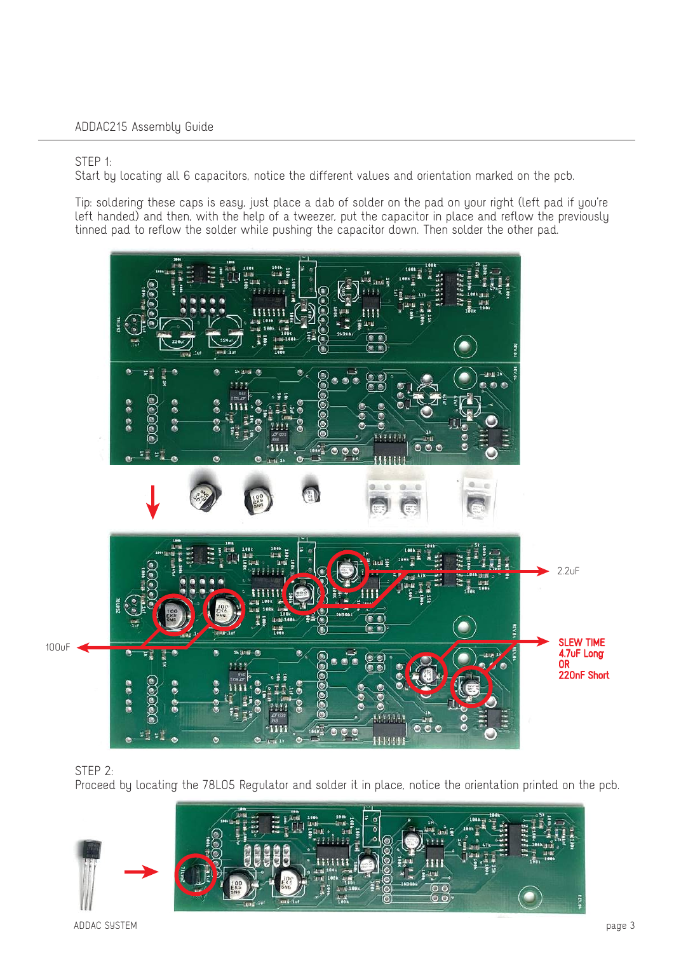#### STEP 1:

Start by locating all 6 capacitors, notice the different values and orientation marked on the pcb.

Tip: soldering these caps is easy, just place a dab of solder on the pad on your right (left pad if you're left handed) and then, with the help of a tweezer, put the capacitor in place and reflow the previously tinned pad to reflow the solder while pushing the capacitor down. Then solder the other pad.



STEP 2:

Proceed by locating the 78L05 Regulator and solder it in place, notice the orientation printed on the pcb.

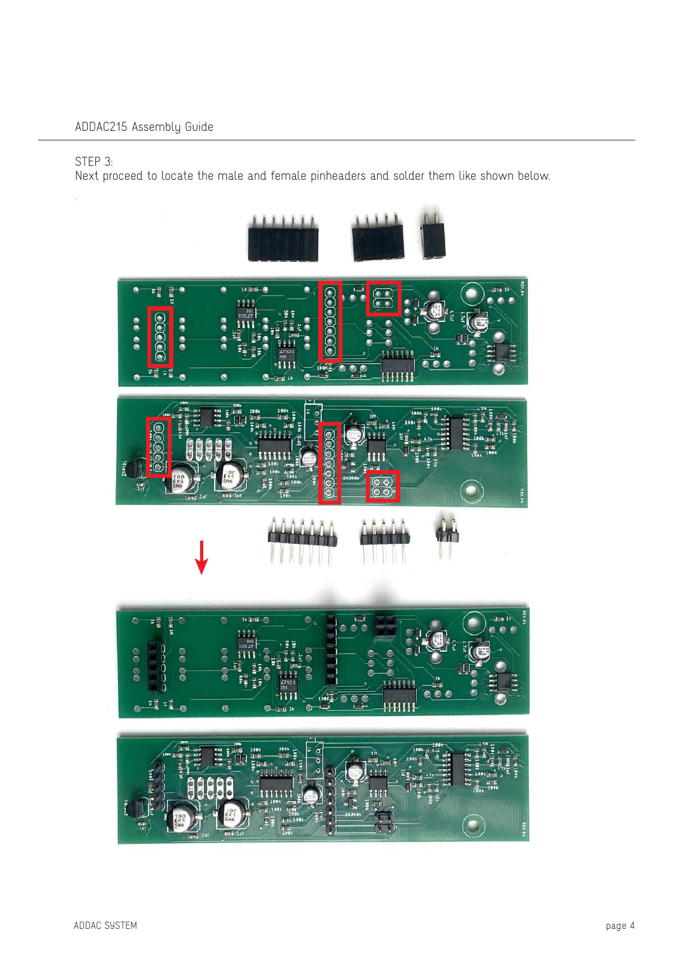STEP 3:

Next proceed to locate the male and female pinheaders and solder them like shown below.

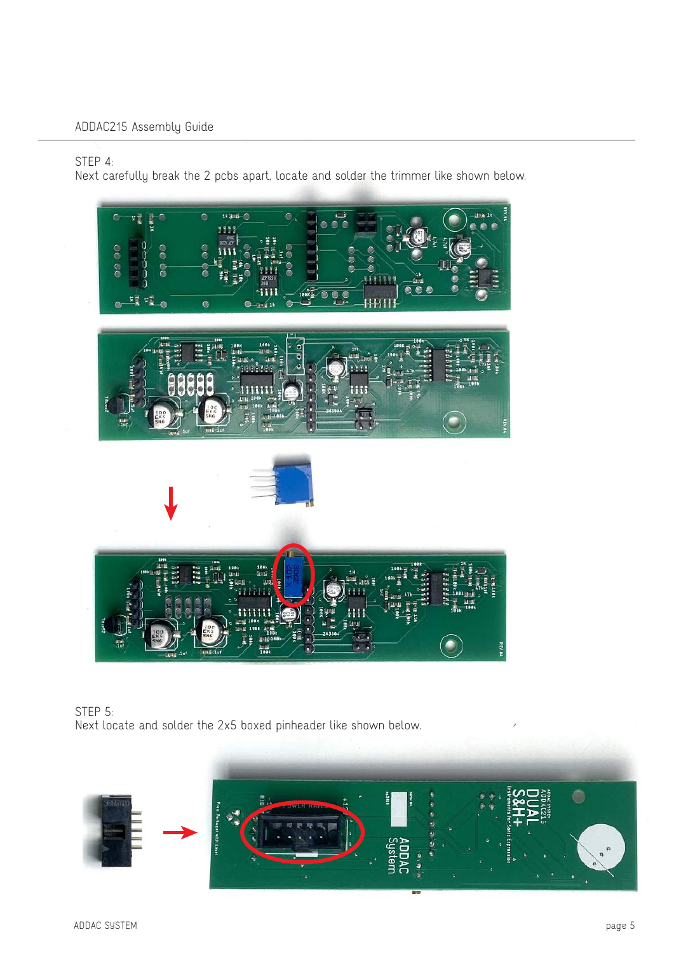STEP 4:

Next carefully break the 2 pcbs apart, locate and solder the trimmer like shown below.





STEP 5: Next locate and solder the 2x5 boxed pinheader like shown below.

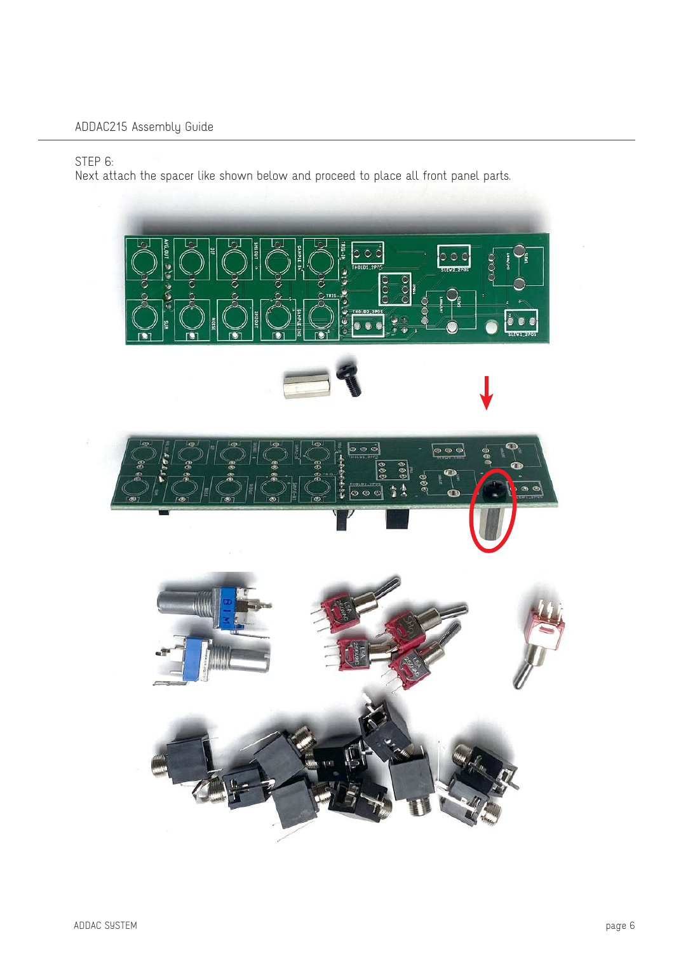## STEP 6:

Next attach the spacer like shown below and proceed to place all front panel parts.

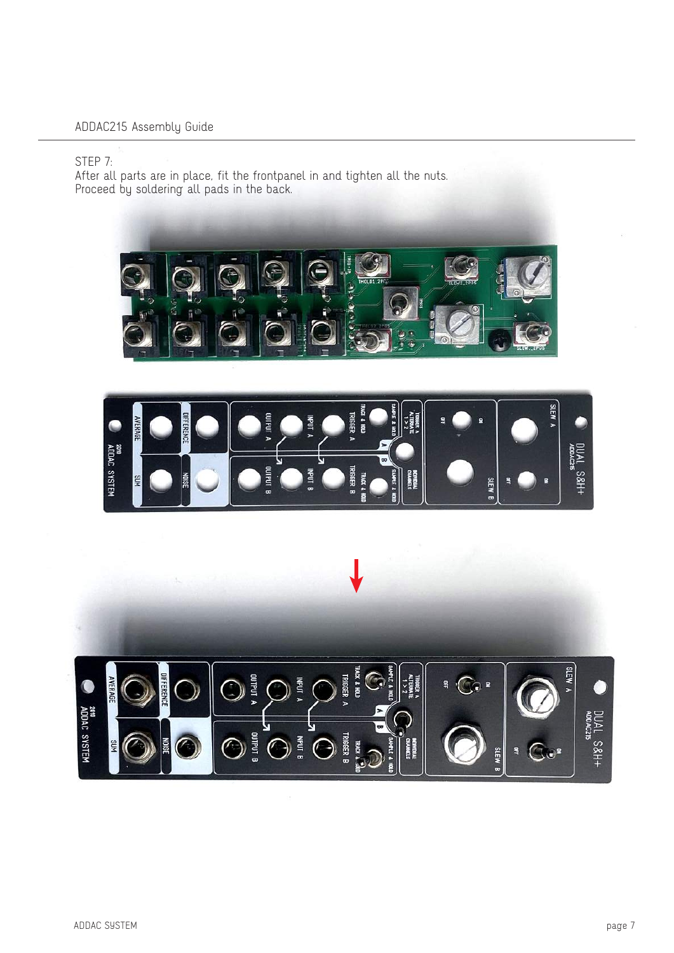#### STEP 7:

After all parts are in place, fit the frontpanel in and tighten all the nuts. Proceed by soldering all pads in the back.





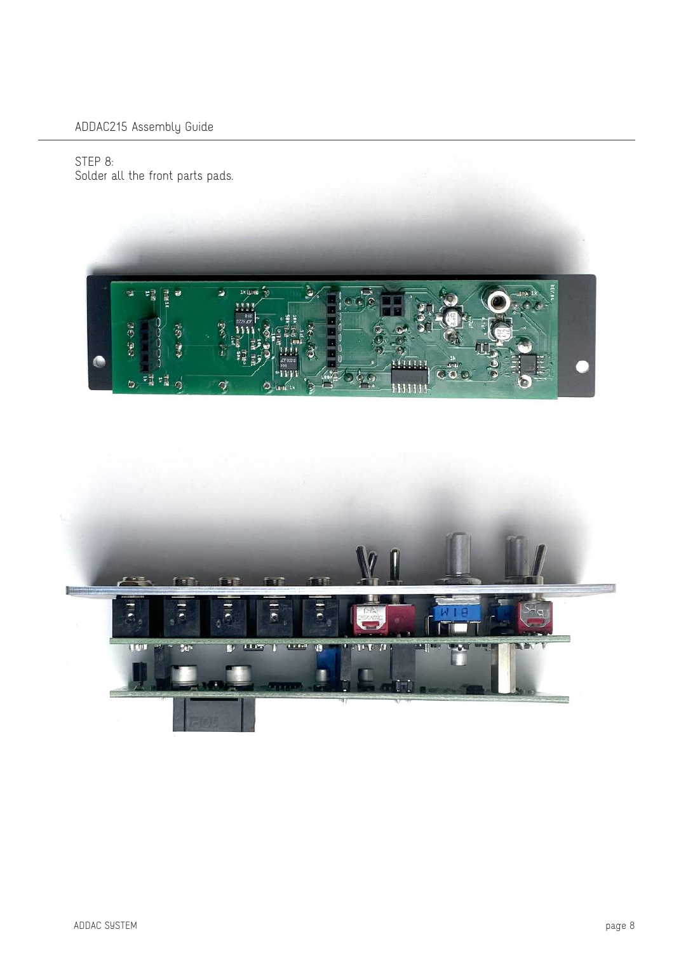STEP 8: Solder all the front parts pads.



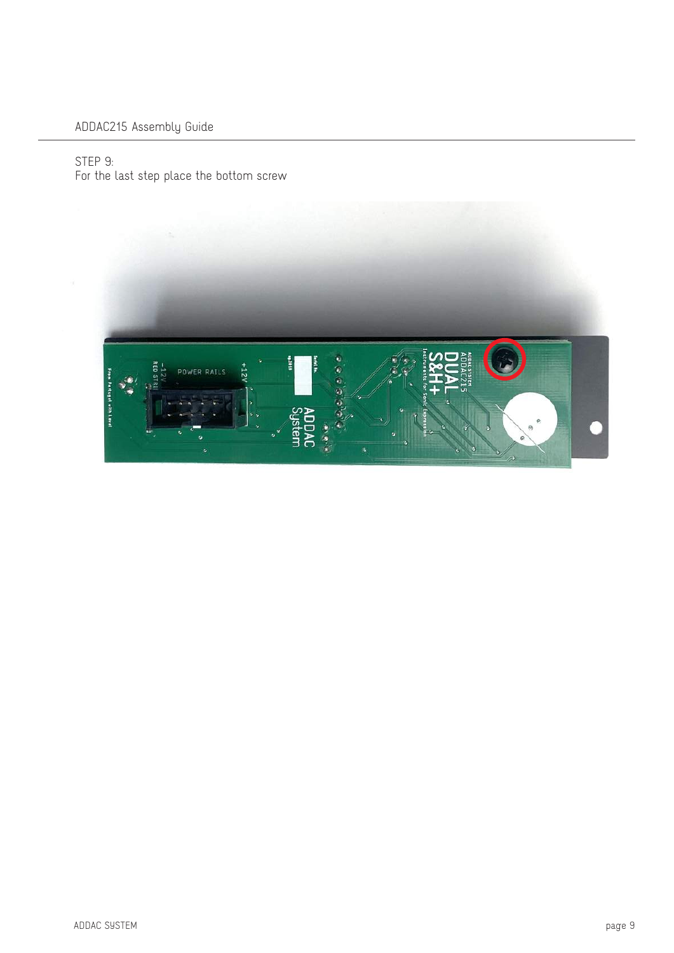### STEP 9: For the last step place the bottom screw

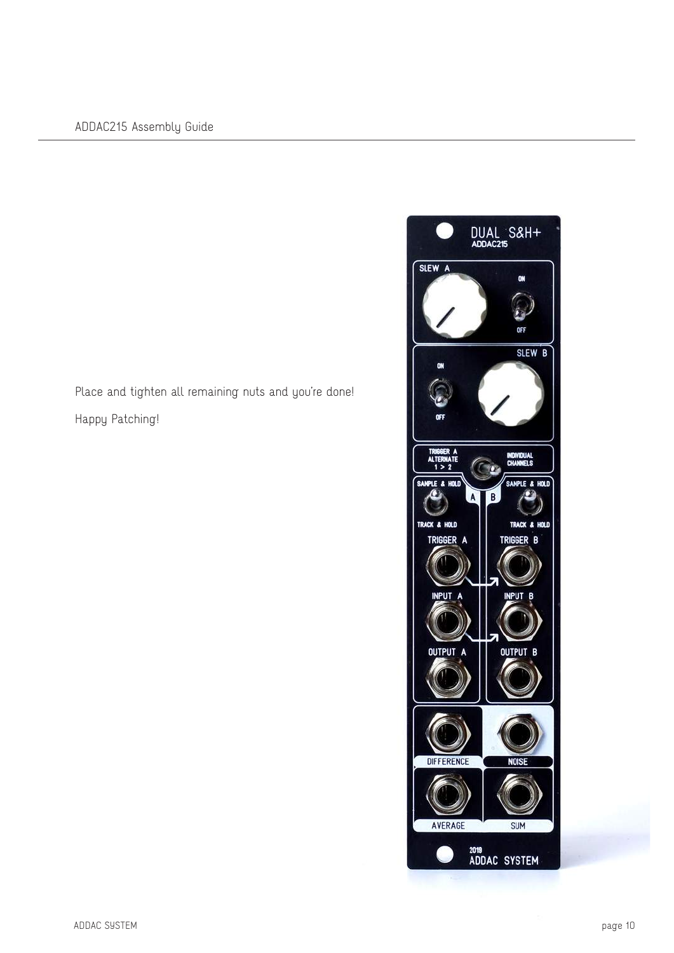Place and tighten all remaining nuts and you're done! Happy Patching!

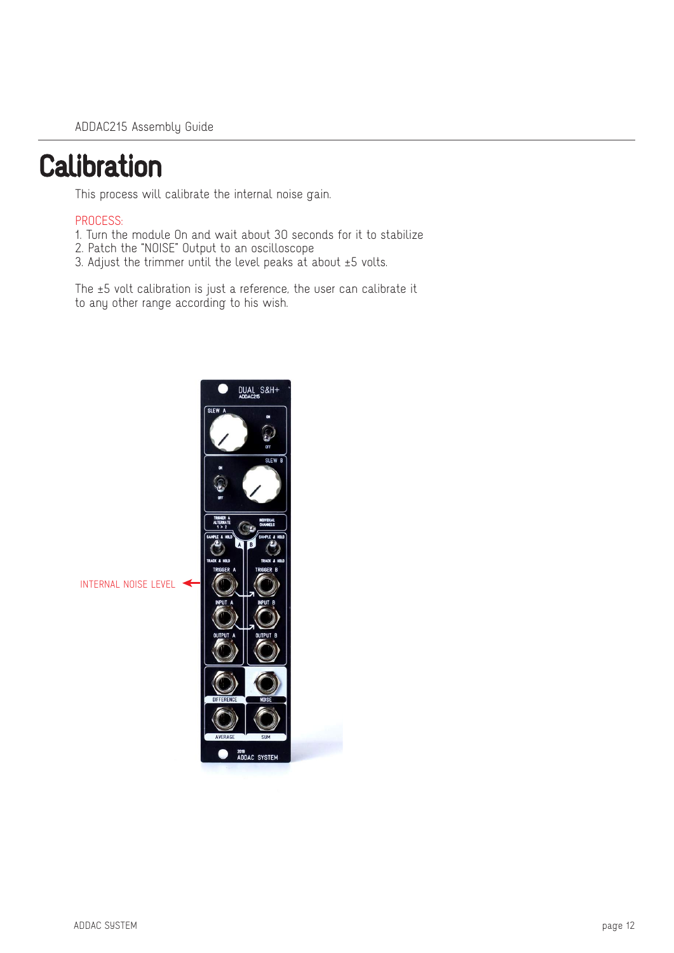## **Calibration**

This process will calibrate the internal noise gain.

### PROCESS:

- 1. Turn the module On and wait about 30 seconds for it to stabilize
- 2. Patch the "NOISE" Output to an oscilloscope
- 3. Adjust the trimmer until the level peaks at about ±5 volts.

The ±5 volt calibration is just a reference, the user can calibrate it to any other range according to his wish.